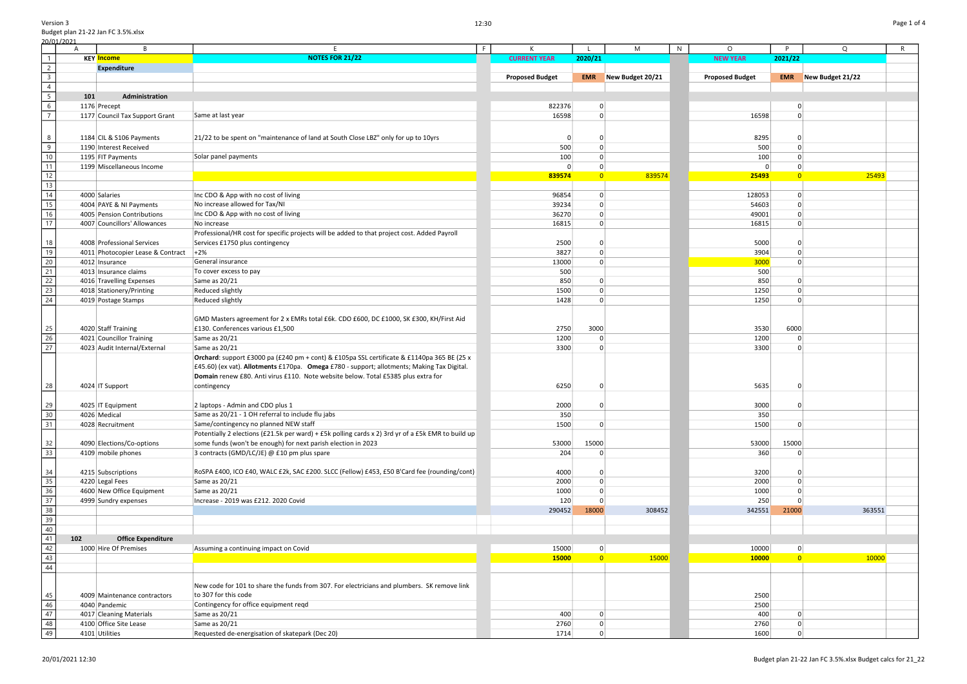|                                                                                | 20/01/2021 |                                   |                                                                                                    |                        |                |                  |   |                        |                         |                             |   |
|--------------------------------------------------------------------------------|------------|-----------------------------------|----------------------------------------------------------------------------------------------------|------------------------|----------------|------------------|---|------------------------|-------------------------|-----------------------------|---|
|                                                                                | A          |                                   |                                                                                                    |                        |                | M                | N | $\circ$                | P                       | Q                           | R |
| $\overline{1}$                                                                 |            | <b>KEY Income</b>                 | <b>NOTES FOR 21/22</b>                                                                             | <b>CURRENT YEAR</b>    | 2020/21        |                  |   | <b>NEW YEAR</b>        | 2021/22                 |                             |   |
| $\overline{2}$                                                                 |            | <b>Expenditure</b>                |                                                                                                    |                        |                |                  |   |                        |                         |                             |   |
|                                                                                |            |                                   |                                                                                                    |                        | <b>EMR</b>     | New Budget 20/21 |   |                        |                         | <b>EMR</b> New Budget 21/22 |   |
|                                                                                |            |                                   |                                                                                                    | <b>Proposed Budget</b> |                |                  |   | <b>Proposed Budget</b> |                         |                             |   |
| $\overline{4}$                                                                 |            |                                   |                                                                                                    |                        |                |                  |   |                        |                         |                             |   |
| $\overline{5}$                                                                 | 101        | Administration                    |                                                                                                    |                        |                |                  |   |                        |                         |                             |   |
| $6\overline{6}$                                                                |            | 1176 Precept                      |                                                                                                    | 822376                 | 0              |                  |   |                        | 0                       |                             |   |
| $\overline{7}$                                                                 |            | 1177 Council Tax Support Grant    | Same at last year                                                                                  | 16598                  | $\Omega$       |                  |   | 16598                  |                         |                             |   |
|                                                                                |            |                                   |                                                                                                    |                        |                |                  |   |                        |                         |                             |   |
|                                                                                |            |                                   |                                                                                                    |                        |                |                  |   |                        |                         |                             |   |
| 8                                                                              |            | 1184 CIL & S106 Payments          | 21/22 to be spent on "maintenance of land at South Close LBZ" only for up to 10yrs                 |                        | $\Omega$       |                  |   | 8295                   |                         |                             |   |
| $\overline{9}$                                                                 |            | 1190 Interest Received            |                                                                                                    | 500                    | $\Omega$       |                  |   | 500                    | $\Omega$                |                             |   |
|                                                                                |            |                                   |                                                                                                    |                        |                |                  |   |                        |                         |                             |   |
| 10                                                                             |            | 1195 FIT Payments                 | Solar panel payments                                                                               | 100                    | $\Omega$       |                  |   | 100                    |                         |                             |   |
| $\overline{11}$                                                                |            | 1199 Miscellaneous Income         |                                                                                                    | $\Omega$               |                |                  |   |                        | O                       |                             |   |
| 12                                                                             |            |                                   |                                                                                                    | 839574                 | $\overline{0}$ | 839574           |   | 25493                  | $\overline{\mathbf{0}}$ | 25493                       |   |
| $\overline{13}$                                                                |            |                                   |                                                                                                    |                        |                |                  |   |                        |                         |                             |   |
|                                                                                |            |                                   |                                                                                                    |                        |                |                  |   |                        |                         |                             |   |
| $\overline{14}$                                                                |            | 4000 Salaries                     | Inc CDO & App with no cost of living                                                               | 96854                  | 0              |                  |   | 128053                 | $\Omega$                |                             |   |
| $\overline{15}$                                                                |            | 4004 PAYE & NI Payments           | No increase allowed for Tax/NI                                                                     | 39234                  | $\mathbf 0$    |                  |   | 54603                  | $\Omega$                |                             |   |
| $\overline{16}$                                                                |            | 4005 Pension Contributions        | Inc CDO & App with no cost of living                                                               | 36270                  | $\mathbf 0$    |                  |   | 49001                  | $\Omega$                |                             |   |
| $\overline{17}$                                                                |            | 4007 Councillors' Allowances      | No increase                                                                                        | 16815                  | $\mathbf 0$    |                  |   | 16815                  | 0                       |                             |   |
|                                                                                |            |                                   |                                                                                                    |                        |                |                  |   |                        |                         |                             |   |
|                                                                                |            |                                   | Professional/HR cost for specific projects will be added to that project cost. Added Payroll       |                        |                |                  |   |                        |                         |                             |   |
| 18                                                                             |            | 4008 Professional Services        | Services £1750 plus contingency                                                                    | 2500                   | $\Omega$       |                  |   | 5000                   |                         |                             |   |
| 19                                                                             |            | 4011 Photocopier Lease & Contract | $+2%$                                                                                              | 3827                   | 0              |                  |   | 3904                   |                         |                             |   |
| $\frac{20}{21}$                                                                |            | 4012 Insurance                    | General insurance                                                                                  | 13000                  | $\Omega$       |                  |   | 3000                   | O                       |                             |   |
|                                                                                |            | 4013 Insurance claims             |                                                                                                    |                        |                |                  |   | 500                    |                         |                             |   |
|                                                                                |            |                                   | To cover excess to pay                                                                             | 500                    |                |                  |   |                        |                         |                             |   |
| $\begin{array}{r} 22 \\ 23 \\ 24 \end{array}$                                  |            | 4016 Travelling Expenses          | Same as 20/21                                                                                      | 850                    | $\Omega$       |                  |   | 850                    |                         |                             |   |
|                                                                                |            | 4018 Stationery/Printing          | Reduced slightly                                                                                   | 1500                   | $\Omega$       |                  |   | 1250                   |                         |                             |   |
|                                                                                |            | 4019 Postage Stamps               | Reduced slightly                                                                                   | 1428                   |                |                  |   | 1250                   |                         |                             |   |
|                                                                                |            |                                   |                                                                                                    |                        |                |                  |   |                        |                         |                             |   |
|                                                                                |            |                                   |                                                                                                    |                        |                |                  |   |                        |                         |                             |   |
|                                                                                |            |                                   | GMD Masters agreement for 2 x EMRs total £6k. CDO £600, DC £1000, SK £300, KH/First Aid            |                        |                |                  |   |                        |                         |                             |   |
|                                                                                |            | 4020 Staff Training               | £130. Conferences various £1,500                                                                   | 2750                   | 3000           |                  |   | 3530                   | 6000                    |                             |   |
| $\frac{25}{26}$                                                                |            | 4021 Councillor Training          | Same as 20/21                                                                                      | 1200                   | $\Omega$       |                  |   | 1200                   | $\Omega$                |                             |   |
| $\overline{27}$                                                                |            | 4023 Audit Internal/External      | Same as 20/21                                                                                      | 3300                   | $\Omega$       |                  |   | 3300                   | $\Omega$                |                             |   |
|                                                                                |            |                                   | Orchard: support £3000 pa (£240 pm + cont) & £105pa SSL certificate & £1140pa 365 BE (25 x         |                        |                |                  |   |                        |                         |                             |   |
|                                                                                |            |                                   |                                                                                                    |                        |                |                  |   |                        |                         |                             |   |
|                                                                                |            |                                   | £45.60) (ex vat). Allotments £170pa. Omega £780 - support; allotments; Making Tax Digital.         |                        |                |                  |   |                        |                         |                             |   |
|                                                                                |            |                                   | Domain renew £80. Anti virus £110. Note website below. Total £5385 plus extra for                  |                        |                |                  |   |                        |                         |                             |   |
| 28                                                                             |            | 4024 IT Support                   | contingency                                                                                        | 6250                   |                |                  |   | 5635                   |                         |                             |   |
|                                                                                |            |                                   |                                                                                                    |                        |                |                  |   |                        |                         |                             |   |
|                                                                                |            |                                   |                                                                                                    |                        |                |                  |   |                        |                         |                             |   |
|                                                                                |            | 4025 IT Equipment                 | 2 laptops - Admin and CDO plus 1                                                                   | 2000                   |                |                  |   | 3000                   | 0                       |                             |   |
|                                                                                |            | 4026 Medical                      | Same as 20/21 - 1 OH referral to include flu jabs                                                  | 350                    |                |                  |   | 350                    |                         |                             |   |
| $\begin{array}{r} 29 \\ \hline 30 \\ \hline 31 \end{array}$                    |            | 4028 Recruitment                  | Same/contingency no planned NEW staff                                                              | 1500                   | 0              |                  |   | 1500                   | $\Omega$                |                             |   |
|                                                                                |            |                                   | Potentially 2 elections (£21.5k per ward) + £5k polling cards x 2) 3rd yr of a £5k EMR to build up |                        |                |                  |   |                        |                         |                             |   |
|                                                                                |            |                                   |                                                                                                    |                        | 15000          |                  |   |                        | 15000                   |                             |   |
| $\frac{32}{33}$                                                                |            | 4090 Elections/Co-options         | some funds (won't be enough) for next parish election in 2023                                      | 53000                  |                |                  |   | 53000                  |                         |                             |   |
|                                                                                |            | 4109 mobile phones                | 3 contracts (GMD/LC/JE) @ £10 pm plus spare                                                        | 204                    |                |                  |   | 360                    |                         |                             |   |
|                                                                                |            |                                   |                                                                                                    |                        |                |                  |   |                        |                         |                             |   |
| 34                                                                             |            | 4215 Subscriptions                | RoSPA £400, ICO £40, WALC £2k, SAC £200. SLCC (Fellow) £453, £50 B'Card fee (rounding/cont)        | 4000                   | 0              |                  |   | 3200                   |                         |                             |   |
| 35                                                                             |            | 4220 Legal Fees                   | Same as 20/21                                                                                      | 2000                   | $\mathbf 0$    |                  |   | 2000                   |                         |                             |   |
| $\overline{36}$                                                                |            |                                   |                                                                                                    |                        |                |                  |   |                        |                         |                             |   |
|                                                                                |            | 4600 New Office Equipment         | Same as 20/21                                                                                      | 1000                   | 0              |                  |   | 1000                   |                         |                             |   |
| $\begin{array}{r} 37 \\ 38 \\ \hline 39 \\ \hline 40 \\ \hline 41 \end{array}$ |            | 4999 Sundry expenses              | Increase - 2019 was £212, 2020 Covid                                                               | 120                    | 0              |                  |   | 250                    |                         |                             |   |
|                                                                                |            |                                   |                                                                                                    | 290452                 | 18000          | 308452           |   | 342551                 | 21000                   | 363551                      |   |
|                                                                                |            |                                   |                                                                                                    |                        |                |                  |   |                        |                         |                             |   |
|                                                                                |            |                                   |                                                                                                    |                        |                |                  |   |                        |                         |                             |   |
|                                                                                |            |                                   |                                                                                                    |                        |                |                  |   |                        |                         |                             |   |
|                                                                                | 102        | <b>Office Expenditure</b>         |                                                                                                    |                        |                |                  |   |                        |                         |                             |   |
| 42                                                                             |            | 1000 Hire Of Premises             | Assuming a continuing impact on Covid                                                              | 15000                  | $\overline{0}$ |                  |   | 10000                  | $\mathbf 0$             |                             |   |
|                                                                                |            |                                   |                                                                                                    | 15000                  | $\overline{0}$ | 15000            |   | 10000                  | $\overline{0}$          | 10000                       |   |
| $\frac{43}{44}$                                                                |            |                                   |                                                                                                    |                        |                |                  |   |                        |                         |                             |   |
|                                                                                |            |                                   |                                                                                                    |                        |                |                  |   |                        |                         |                             |   |
|                                                                                |            |                                   |                                                                                                    |                        |                |                  |   |                        |                         |                             |   |
|                                                                                |            |                                   | New code for 101 to share the funds from 307. For electricians and plumbers. SK remove link        |                        |                |                  |   |                        |                         |                             |   |
| 45                                                                             |            | 4009 Maintenance contractors      | to 307 for this code                                                                               |                        |                |                  |   | 2500                   |                         |                             |   |
| 46                                                                             |            | 4040 Pandemic                     | Contingency for office equipment reqd                                                              |                        |                |                  |   | 2500                   |                         |                             |   |
| 47                                                                             |            | 4017 Cleaning Materials           | Same as 20/21                                                                                      | 400                    | $\Omega$       |                  |   | 400                    | $\Omega$                |                             |   |
|                                                                                |            |                                   |                                                                                                    |                        |                |                  |   |                        |                         |                             |   |
| $\frac{48}{49}$                                                                |            | 4100 Office Site Lease            | Same as 20/21                                                                                      | 2760                   | 0              |                  |   | 2760                   |                         |                             |   |
|                                                                                |            | 4101 Utilities                    | Requested de-energisation of skatepark (Dec 20)                                                    | 1714                   | $\overline{0}$ |                  |   | 1600                   |                         |                             |   |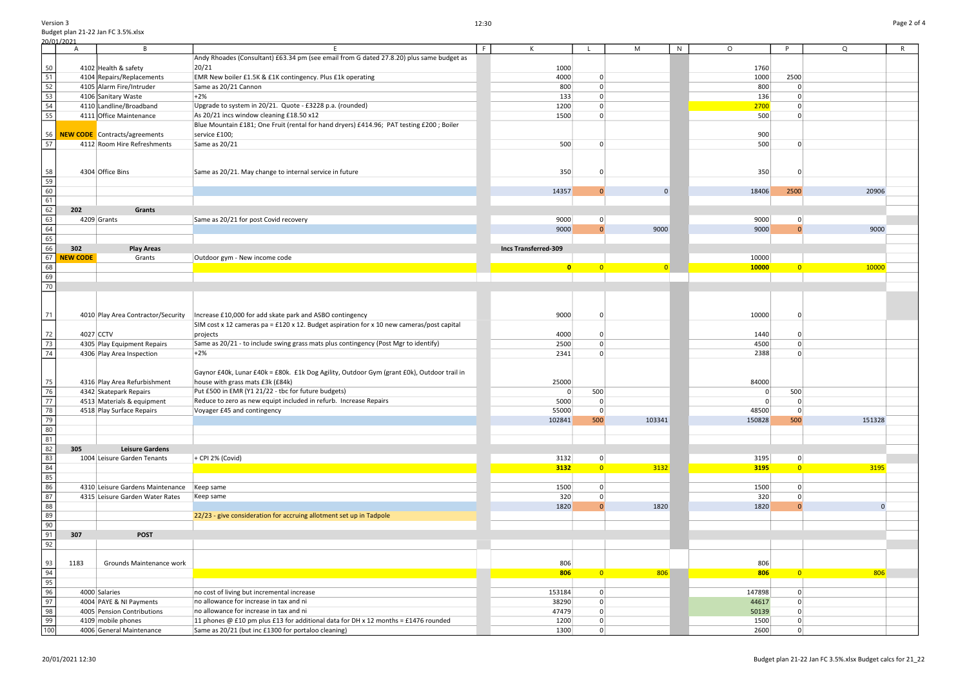Version 3 Budget plan 21-22 Jan FC 3.5%.xlsx 20/01/2021<br>A A B E E F K L M N O P Q R 4102 Health & safety

|                                                         | $\mathsf L$    | ${\sf M}$      | ${\sf N}$ | $\hbox{O}$ | ${\sf P}$               | ${\sf Q}$ | ${\sf R}$ |
|---------------------------------------------------------|----------------|----------------|-----------|------------|-------------------------|-----------|-----------|
|                                                         |                |                |           |            |                         |           |           |
|                                                         |                |                |           | 1760       |                         |           |           |
|                                                         | $\mathbf 0$    |                |           | 1000       | 2500                    |           |           |
|                                                         | $\pmb{0}$      |                |           | 800        | $\pmb{0}$               |           |           |
| $\frac{0}{0}$ $\frac{0}{3}$ $\frac{0}{0}$ $\frac{0}{0}$ | $\pmb{0}$      |                |           | 136        | $\pmb{0}$               |           |           |
|                                                         | $\mathbf 0$    |                |           | 2700       | $\pmb{0}$               |           |           |
|                                                         | $\mathbf 0$    |                |           | 500        | $\pmb{0}$               |           |           |
|                                                         |                |                |           |            |                         |           |           |
|                                                         |                |                |           | 900        |                         |           |           |
| 0                                                       | $\mathbf 0$    |                |           | 500        | $\pmb{0}$               |           |           |
|                                                         |                |                |           |            |                         |           |           |
|                                                         |                |                |           |            |                         |           |           |
| 0                                                       | $\pmb{0}$      |                |           | 350        | $\pmb{0}$               |           |           |
| 7                                                       | $\pmb{0}$      | $\pmb{0}$      |           | 18406      | 2500                    | 20906     |           |
|                                                         |                |                |           |            |                         |           |           |
|                                                         |                |                |           |            |                         |           |           |
| 0                                                       | $\mathbf 0$    |                |           | 9000       | $\pmb{0}$               |           |           |
| $\overline{0}$                                          | $\pmb{0}$      | 9000           |           | 9000       | $\pmb{0}$               | 9000      |           |
|                                                         |                |                |           |            |                         |           |           |
|                                                         |                |                |           |            |                         |           |           |
|                                                         |                |                |           | 10000      |                         |           |           |
| 0                                                       | $\overline{0}$ | $\overline{0}$ |           | 10000      | $\overline{\mathbf{0}}$ | 10000     |           |
|                                                         |                |                |           |            |                         |           |           |
|                                                         |                |                |           |            |                         |           |           |
|                                                         |                |                |           |            |                         |           |           |
|                                                         |                |                |           |            |                         |           |           |
| 0                                                       | $\pmb{0}$      |                |           | 10000      | $\pmb{0}$               |           |           |
|                                                         |                |                |           |            |                         |           |           |
| 0                                                       | $\pmb{0}$      |                |           | 1440       | $\pmb{0}$               |           |           |
| $\overline{0}$                                          | $\pmb{0}$      |                |           | 4500       | $\pmb{0}$               |           |           |
| $\overline{\mathbf{1}}$                                 | $\mathbf 0$    |                |           | 2388       | $\pmb{0}$               |           |           |
|                                                         |                |                |           |            |                         |           |           |
|                                                         |                |                |           |            |                         |           |           |
| 0                                                       |                |                |           | 84000      |                         |           |           |
| 0                                                       | 500            |                |           | $\pmb{0}$  | 500                     |           |           |
| 0                                                       | $\mathbf 0$    |                |           | $\pmb{0}$  | $\pmb{0}$               |           |           |
| $\mathbf{0}$                                            | $\pmb{0}$      |                |           | 48500      | $\pmb{0}$               |           |           |
| $\mathbf{1}$                                            | 500            | 103341         |           | 150828     | 500                     | 151328    |           |
|                                                         |                |                |           |            |                         |           |           |
|                                                         |                |                |           |            |                         |           |           |
|                                                         |                |                |           |            |                         |           |           |
| $\overline{2}$                                          | $\pmb{0}$      |                |           | 3195       | $\pmb{0}$               |           |           |
| 2                                                       | $\mathbf 0$    | 3132           |           | 3195       | $\overline{\mathbf{0}}$ | 3195      |           |
|                                                         |                |                |           |            |                         |           |           |
| 0                                                       | $\pmb{0}$      |                |           | 1500       | $\pmb{0}$               |           |           |
| $\overline{\mathbf{0}}$                                 | $\pmb{0}$      |                |           | 320        | $\pmb{0}$               |           |           |
| 0                                                       | $\pmb{0}$      | 1820           |           | 1820       | $\pmb{0}$               | $\pmb{0}$ |           |
|                                                         |                |                |           |            |                         |           |           |
|                                                         |                |                |           |            |                         |           |           |
|                                                         |                |                |           |            |                         |           |           |
|                                                         |                |                |           |            |                         |           |           |
|                                                         |                |                |           |            |                         |           |           |
| 6                                                       |                |                |           | 806        |                         |           |           |
| 6                                                       | $\mathbf 0$    | 806            |           | 806        | $\overline{\mathbf{0}}$ | 806       |           |
|                                                         |                |                |           |            |                         |           |           |
| 4                                                       | $\pmb{0}$      |                |           | 147898     | $\pmb{0}$               |           |           |
| 0                                                       | $\pmb{0}$      |                |           | 44617      | $\pmb{0}$               |           |           |
| 9                                                       | $\pmb{0}$      |                |           | 50139      | $\pmb{0}$               |           |           |
| 0                                                       | $\mathbf 0$    |                |           | 1500       | $\pmb{0}$               |           |           |
| 0                                                       | $\pmb{0}$      |                |           | 2600       | $\pmb{0}$               |           |           |

|                                                             |                 |                                    | Andy Rhoades (Consultant) £63.34 pm (see email from G dated 27.8.20) plus same budget as   |                      |                |                |          |                |                |
|-------------------------------------------------------------|-----------------|------------------------------------|--------------------------------------------------------------------------------------------|----------------------|----------------|----------------|----------|----------------|----------------|
| 50                                                          |                 | 4102 Health & safety               | 20/21                                                                                      | 1000                 |                |                | 1760     |                |                |
| $\overline{51}$                                             |                 | 4104 Repairs/Replacements          | EMR New boiler £1.5K & £1K contingency. Plus £1k operating                                 | 4000                 | $\overline{0}$ |                | 1000     | 2500           |                |
| 52                                                          |                 | 4105 Alarm Fire/Intruder           | Same as 20/21 Cannon                                                                       | 800                  | $\Omega$       |                | 800      | $\Omega$       |                |
| $\overline{53}$                                             |                 | 4106 Sanitary Waste                | $+2%$                                                                                      | 133                  | 0              |                | 136      | $\mathbf{0}$   |                |
| 54                                                          |                 | 4110 Landline/Broadband            | Upgrade to system in 20/21. Quote - £3228 p.a. (rounded)                                   | 1200                 | $\Omega$       |                | 2700     | $\Omega$       |                |
| 55                                                          |                 | 4111 Office Maintenance            | As 20/21 incs window cleaning £18.50 x12                                                   | 1500                 | $\mathbf 0$    |                | 500      | $\Omega$       |                |
|                                                             |                 |                                    | Blue Mountain £181; One Fruit (rental for hand dryers) £414.96; PAT testing £200; Boiler   |                      |                |                |          |                |                |
|                                                             |                 | 56 NEW CODE Contracts/agreements   | service £100;                                                                              |                      |                |                | 900      |                |                |
| 57                                                          |                 | 4112 Room Hire Refreshments        | Same as 20/21                                                                              | 500                  | $\Omega$       |                | 500      | $\Omega$       |                |
|                                                             |                 |                                    |                                                                                            |                      |                |                |          |                |                |
|                                                             |                 |                                    |                                                                                            |                      |                |                |          |                |                |
| 58                                                          |                 | 4304 Office Bins                   | Same as 20/21. May change to internal service in future                                    | 350                  | 0              |                | 350      | 0              |                |
| 59                                                          |                 |                                    |                                                                                            |                      |                |                |          |                |                |
| 60                                                          |                 |                                    |                                                                                            | 14357                | $\Omega$       | $\Omega$       | 18406    | 2500           | 20906          |
| 61                                                          |                 |                                    |                                                                                            |                      |                |                |          |                |                |
| 62                                                          | 202             | Grants                             |                                                                                            |                      |                |                |          |                |                |
|                                                             |                 |                                    |                                                                                            |                      |                |                |          |                |                |
| 63                                                          |                 | 4209 Grants                        | Same as 20/21 for post Covid recovery                                                      | 9000                 | 0              |                | 9000     | $\Omega$       |                |
| 64                                                          |                 |                                    |                                                                                            | 9000                 | $\overline{0}$ | 9000           | 9000     | $\Omega$       | 9000           |
| 65                                                          |                 |                                    |                                                                                            |                      |                |                |          |                |                |
| 66                                                          | 302             | <b>Play Areas</b>                  |                                                                                            | Incs Transferred-309 |                |                |          |                |                |
| 67                                                          | <b>NEW CODE</b> | Grants                             | Outdoor gym - New income code                                                              |                      |                |                | 10000    |                |                |
| 68                                                          |                 |                                    |                                                                                            | $\mathbf{0}$         | $\overline{0}$ | $\overline{0}$ | 10000    | $\overline{0}$ | 10000          |
| 69                                                          |                 |                                    |                                                                                            |                      |                |                |          |                |                |
| $\overline{70}$                                             |                 |                                    |                                                                                            |                      |                |                |          |                |                |
|                                                             |                 |                                    |                                                                                            |                      |                |                |          |                |                |
|                                                             |                 |                                    |                                                                                            |                      |                |                |          |                |                |
| 71                                                          |                 | 4010 Play Area Contractor/Security | Increase £10,000 for add skate park and ASBO contingency                                   | 9000                 | 0              |                | 10000    |                |                |
|                                                             |                 |                                    | SIM cost x 12 cameras pa = £120 x 12. Budget aspiration for x 10 new cameras/post capital  |                      |                |                |          |                |                |
| 72                                                          | 4027 CCTV       |                                    | projects                                                                                   | 4000                 | $\Omega$       |                | 1440     |                |                |
| 73                                                          |                 | 4305 Play Equipment Repairs        | Same as 20/21 - to include swing grass mats plus contingency (Post Mgr to identify)        | 2500                 | $\Omega$       |                | 4500     |                |                |
| 74                                                          |                 | 4306 Play Area Inspection          | $+2%$                                                                                      | 2341                 | $\Omega$       |                | 2388     |                |                |
|                                                             |                 |                                    |                                                                                            |                      |                |                |          |                |                |
|                                                             |                 |                                    | Gaynor £40k, Lunar £40k = £80k. £1k Dog Agility, Outdoor Gym (grant £0k), Outdoor trail in |                      |                |                |          |                |                |
| 75                                                          |                 | 4316 Play Area Refurbishment       | house with grass mats £3k (£84k)                                                           | 25000                |                |                | 84000    |                |                |
| 76                                                          |                 | 4342 Skatepark Repairs             | Put £500 in EMR (Y1 21/22 - tbc for future budgets)                                        | $\overline{0}$       | 500            |                | 0        | 500            |                |
| $\overline{77}$                                             |                 |                                    | Reduce to zero as new equipt included in refurb. Increase Repairs                          |                      |                |                | $\Omega$ | $\Omega$       |                |
| 78                                                          |                 | 4513 Materials & equipment         |                                                                                            | 5000                 | 0              |                |          |                |                |
|                                                             |                 | 4518 Play Surface Repairs          | Voyager £45 and contingency                                                                | 55000                | $\mathbf 0$    |                | 48500    | 0              |                |
| 79                                                          |                 |                                    |                                                                                            | 102841               | 500            | 103341         | 150828   | 500            | 151328         |
| 80                                                          |                 |                                    |                                                                                            |                      |                |                |          |                |                |
| 81                                                          |                 |                                    |                                                                                            |                      |                |                |          |                |                |
| 82                                                          | 305             | <b>Leisure Gardens</b>             |                                                                                            |                      |                |                |          |                |                |
| $\overline{83}$                                             |                 | 1004 Leisure Garden Tenants        | + CPI 2% (Covid)                                                                           | 3132                 | 0              |                | 3195     | $\overline{0}$ |                |
| 84                                                          |                 |                                    |                                                                                            | 3132                 | $\overline{0}$ | 3132           | 3195     | $\overline{0}$ | 3195           |
| $\begin{array}{c c}\n\hline\n85 \\ \hline\n86\n\end{array}$ |                 |                                    |                                                                                            |                      |                |                |          |                |                |
|                                                             |                 | 4310 Leisure Gardens Maintenance   | Keep same                                                                                  | 1500                 | $\mathbf 0$    |                | 1500     | $\Omega$       |                |
| 87                                                          |                 | 4315 Leisure Garden Water Rates    | Keep same                                                                                  | 320                  | $\mathbf 0$    |                | 320      | $\Omega$       |                |
| 88                                                          |                 |                                    |                                                                                            | 1820                 | $\overline{0}$ | 1820           | 1820     |                | $\overline{0}$ |
| $\overline{89}$                                             |                 |                                    | 22/23 - give consideration for accruing allotment set up in Tadpole                        |                      |                |                |          |                |                |
| $\overline{90}$                                             |                 |                                    |                                                                                            |                      |                |                |          |                |                |
| $\overline{91}$                                             | 307             | <b>POST</b>                        |                                                                                            |                      |                |                |          |                |                |
| 92                                                          |                 |                                    |                                                                                            |                      |                |                |          |                |                |
|                                                             |                 |                                    |                                                                                            |                      |                |                |          |                |                |
| 93                                                          | 1183            | Grounds Maintenance work           |                                                                                            | 806                  |                |                | 806      |                |                |
| $\overline{94}$                                             |                 |                                    |                                                                                            | 806                  | $\overline{0}$ | 806            | 806      | $\overline{0}$ | 806            |
| 95                                                          |                 |                                    |                                                                                            |                      |                |                |          |                |                |
| 96                                                          |                 | 4000 Salaries                      | no cost of living but incremental increase                                                 | 153184               | 0              |                | 147898   | $\overline{0}$ |                |
| $\overline{97}$                                             |                 | 4004 PAYE & NI Payments            | no allowance for increase in tax and ni                                                    | 38290                | 0              |                | 44617    | $\mathbf{0}$   |                |
| 98                                                          |                 | 4005 Pension Contributions         | no allowance for increase in tax and ni                                                    | 47479                | $\overline{0}$ |                | 50139    | $\mathbf{0}$   |                |
| 99                                                          |                 | 4109 mobile phones                 | 11 phones $@$ £10 pm plus £13 for additional data for DH x 12 months = £1476 rounded       |                      | $\overline{0}$ |                |          | $\overline{0}$ |                |
|                                                             |                 |                                    |                                                                                            | 1200                 |                |                | 1500     |                |                |
| 100                                                         |                 | 4006 General Maintenance           | Same as 20/21 (but inc £1300 for portaloo cleaning)                                        | 1300                 | $\overline{0}$ |                | 2600     | $\overline{0}$ |                |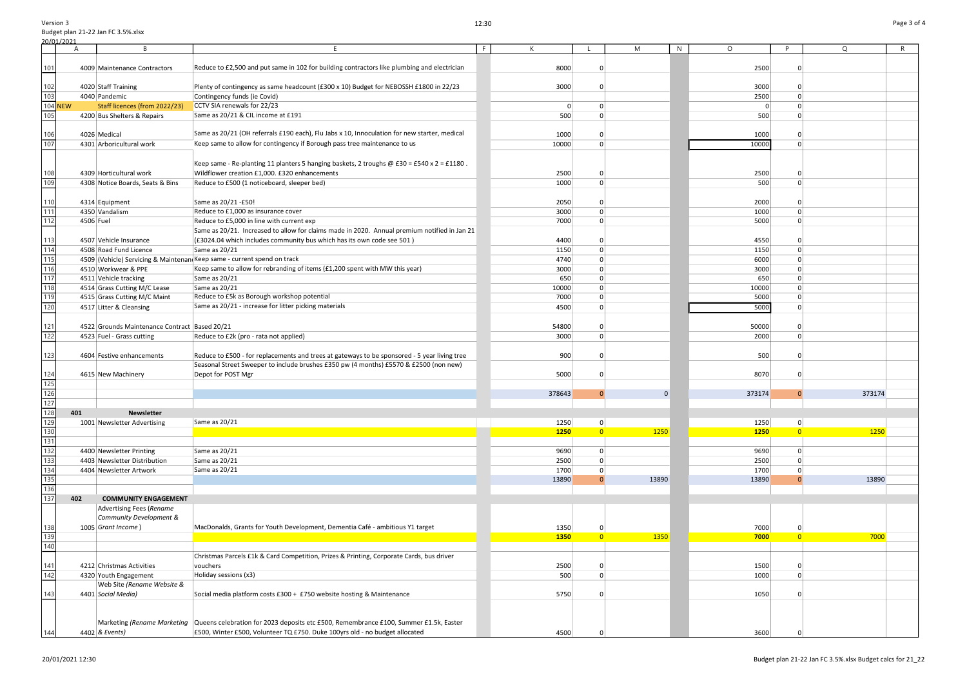144

|           | B                                             |                                                                                                                   | F<br>К      |                | M                        | N | $\circ$     | <b>D</b>       | $\mathsf Q$ | R |
|-----------|-----------------------------------------------|-------------------------------------------------------------------------------------------------------------------|-------------|----------------|--------------------------|---|-------------|----------------|-------------|---|
|           |                                               |                                                                                                                   |             |                |                          |   |             |                |             |   |
|           | 4009 Maintenance Contractors                  | Reduce to £2,500 and put same in 102 for building contractors like plumbing and electrician                       | 8000        |                |                          |   | 2500        | ŋ              |             |   |
|           |                                               |                                                                                                                   |             |                |                          |   |             |                |             |   |
|           | 4020 Staff Training                           | Plenty of contingency as same headcount (£300 x 10) Budget for NEBOSSH £1800 in 22/23                             | 3000        |                | $\Omega$                 |   | 3000        | 0              |             |   |
|           | 4040 Pandemic                                 | Contingency funds (ie Covid)                                                                                      |             |                |                          |   | 2500        | $\mathbf{0}$   |             |   |
|           | Staff licences (from 2022/23)                 | CCTV SIA renewals for 22/23                                                                                       |             | $\overline{0}$ | $\overline{0}$           |   | $\Omega$    | $\Omega$       |             |   |
|           | 4200 Bus Shelters & Repairs                   | Same as 20/21 & CIL income at £191                                                                                | 500         |                | $\overline{0}$           |   | 500         | 0              |             |   |
|           |                                               |                                                                                                                   |             |                |                          |   |             |                |             |   |
|           | 4026 Medical                                  | Same as 20/21 (OH referrals £190 each), Flu Jabs x 10, Innoculation for new starter, medical                      | 1000        |                | - 0                      |   | 1000        | 0              |             |   |
|           | 4301 Arboricultural work                      | Keep same to allow for contingency if Borough pass tree maintenance to us                                         | 10000       |                | - 0                      |   | 10000       | $\Omega$       |             |   |
|           |                                               |                                                                                                                   |             |                |                          |   |             |                |             |   |
|           |                                               | Keep same - Re-planting 11 planters 5 hanging baskets, 2 troughs $\omega$ £30 = £540 x 2 = £1180.                 |             |                |                          |   |             |                |             |   |
|           | 4309 Horticultural work                       | Wildflower creation £1,000. £320 enhancements                                                                     | 2500        |                | $\Omega$                 |   | 2500        | 0              |             |   |
|           | 4308 Notice Boards, Seats & Bins              | Reduce to £500 (1 noticeboard, sleeper bed)                                                                       | 1000        |                | $\Omega$                 |   | 500         | 0              |             |   |
|           |                                               |                                                                                                                   |             |                |                          |   |             |                |             |   |
|           |                                               | Same as 20/21 - £50!                                                                                              | 2050        |                | - 0                      |   | 2000        | O              |             |   |
|           | 4314 Equipment                                |                                                                                                                   |             |                |                          |   | 1000        | O              |             |   |
|           | 4350 Vandalism                                | Reduce to £1,000 as insurance cover                                                                               | 3000        |                |                          |   |             |                |             |   |
| 4506 Fuel |                                               | Reduce to £5,000 in line with current exp                                                                         | 7000        |                |                          |   | 5000        | O              |             |   |
|           |                                               | Same as 20/21. Increased to allow for claims made in 2020. Annual premium notified in Jan 21                      |             |                |                          |   |             |                |             |   |
|           | 4507 Vehicle Insurance                        | (£3024.04 which includes community bus which has its own code see 501)                                            | 4400        |                | $\Omega$                 |   | 4550        | 0              |             |   |
|           | 4508 Road Fund Licence                        | Same as 20/21                                                                                                     | 1150        |                | $\Omega$                 |   | 1150        | $\Omega$       |             |   |
|           |                                               | 4509 (Vehicle) Servicing & Maintenan Keep same - current spend on track                                           | 4740        |                | $\Omega$                 |   | 6000        | $\mathbf{0}$   |             |   |
|           | 4510 Workwear & PPE                           | Keep same to allow for rebranding of items (£1,200 spent with MW this year)                                       | 3000        |                | $\Omega$                 |   | 3000        | $\mathbf{0}$   |             |   |
|           | 4511 Vehicle tracking                         | Same as 20/21                                                                                                     | 650         |                | $\overline{0}$           |   | 650         | $\mathbf{0}$   |             |   |
|           | 4514 Grass Cutting M/C Lease                  | Same as 20/21                                                                                                     | 10000       |                | $\Omega$                 |   | 10000       | $\Omega$       |             |   |
|           | 4515 Grass Cutting M/C Maint                  | Reduce to £5k as Borough workshop potential                                                                       | 7000        |                | $\Omega$                 |   | 5000        | $\Omega$       |             |   |
|           | 4517 Litter & Cleansing                       | Same as 20/21 - increase for litter picking materials                                                             | 4500        |                | - 0                      |   | 5000        | $\Omega$       |             |   |
|           |                                               |                                                                                                                   |             |                |                          |   |             |                |             |   |
|           | 4522 Grounds Maintenance Contract Based 20/21 |                                                                                                                   | 54800       |                | - 0                      |   | 50000       | 0              |             |   |
|           | 4523 Fuel - Grass cutting                     | Reduce to £2k (pro - rata not applied)                                                                            | 3000        |                | $\Omega$                 |   | 2000        | $\Omega$       |             |   |
|           |                                               |                                                                                                                   |             |                |                          |   |             |                |             |   |
|           | 4604 Festive enhancements                     | Reduce to £500 - for replacements and trees at gateways to be sponsored - 5 year living tree                      | 900         |                |                          |   | 500         |                |             |   |
|           |                                               | Seasonal Street Sweeper to include brushes £350 pw (4 months) £5570 & £2500 (non new)                             |             |                |                          |   |             |                |             |   |
|           | 4615 New Machinery                            | Depot for POST Mgr                                                                                                | 5000        |                |                          |   | 8070        |                |             |   |
|           |                                               |                                                                                                                   |             |                |                          |   |             |                |             |   |
|           |                                               |                                                                                                                   | 378643      |                | $\Omega$<br>$\mathbf{0}$ |   | 373174      |                | 373174      |   |
|           |                                               |                                                                                                                   |             |                |                          |   |             |                |             |   |
| 01        | <b>Newsletter</b>                             |                                                                                                                   |             |                |                          |   |             |                |             |   |
|           | 1001 Newsletter Advertising                   | Same as 20/21                                                                                                     | 1250        |                | 0                        |   | 1250        | $\mathbf{0}$   |             |   |
|           |                                               |                                                                                                                   | <b>1250</b> |                | $\overline{0}$<br>1250   |   | <b>1250</b> | $\overline{0}$ | 1250        |   |
|           |                                               |                                                                                                                   |             |                |                          |   |             |                |             |   |
|           | 4400 Newsletter Printing                      | Same as 20/21                                                                                                     | 9690        |                | $\overline{0}$           |   | 9690        | 0              |             |   |
|           | 4403 Newsletter Distribution                  | Same as 20/21                                                                                                     | 2500        |                |                          |   | 2500        | $\Omega$       |             |   |
|           | 4404 Newsletter Artwork                       | Same as 20/21                                                                                                     | 1700        |                | $\Omega$                 |   | 1700        | 0              |             |   |
|           |                                               |                                                                                                                   | 13890       |                | 13890<br>- 0             |   | 13890       | $\Omega$       | 13890       |   |
|           |                                               |                                                                                                                   |             |                |                          |   |             |                |             |   |
| 02        | <b>COMMUNITY ENGAGEMENT</b>                   |                                                                                                                   |             |                |                          |   |             |                |             |   |
|           | Advertising Fees (Rename                      |                                                                                                                   |             |                |                          |   |             |                |             |   |
|           | Community Development &                       |                                                                                                                   |             |                |                          |   |             |                |             |   |
|           | 1005 Grant Income)                            | MacDonalds, Grants for Youth Development, Dementia Café - ambitious Y1 target                                     | 1350        |                | $\Omega$                 |   | 7000        | $\mathbf{0}$   |             |   |
|           |                                               |                                                                                                                   | 1350        |                | $\overline{0}$<br>1350   |   | 7000        | $\overline{0}$ | 7000        |   |
|           |                                               |                                                                                                                   |             |                |                          |   |             |                |             |   |
|           |                                               | Christmas Parcels £1k & Card Competition, Prizes & Printing, Corporate Cards, bus driver                          |             |                |                          |   |             |                |             |   |
|           | 4212 Christmas Activities                     | vouchers                                                                                                          | 2500        |                | - 0                      |   | 1500        | 0              |             |   |
|           | 4320 Youth Engagement                         | Holiday sessions (x3)                                                                                             | 500         |                | $\Omega$                 |   | 1000        | $\Omega$       |             |   |
|           | Web Site (Rename Website &                    |                                                                                                                   |             |                |                          |   |             |                |             |   |
|           | 4401 Social Media)                            | Social media platform costs £300 + £750 website hosting & Maintenance                                             | 5750        |                |                          |   | 1050        | C              |             |   |
|           |                                               |                                                                                                                   |             |                |                          |   |             |                |             |   |
|           |                                               |                                                                                                                   |             |                |                          |   |             |                |             |   |
|           |                                               | Marketing (Rename Marketing Queens celebration for 2023 deposits etc £500, Remembrance £100, Summer £1.5k, Easter |             |                |                          |   |             |                |             |   |
|           | 4402 & Events)                                | £500, Winter £500, Volunteer TQ £750. Duke 100yrs old - no budget allocated                                       | 4500        |                |                          |   | 3600        |                |             |   |
|           |                                               |                                                                                                                   |             |                |                          |   |             |                |             |   |